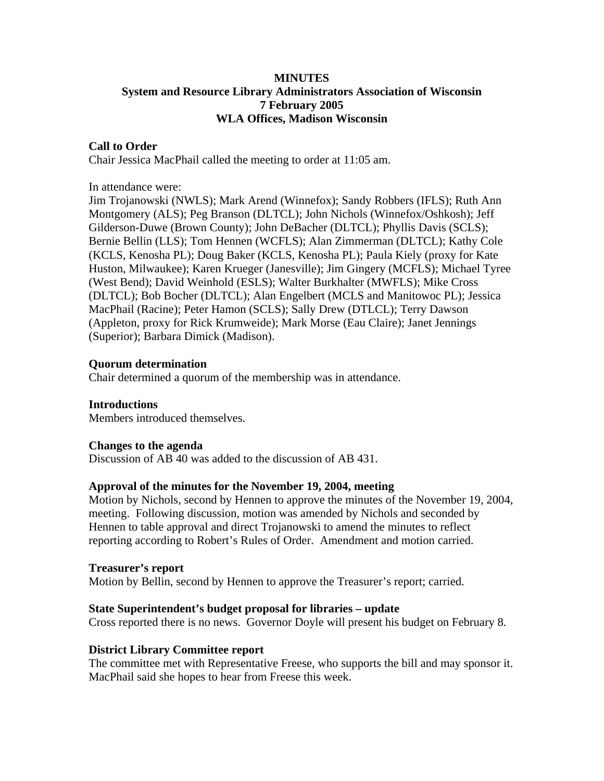## **MINUTES System and Resource Library Administrators Association of Wisconsin 7 February 2005 WLA Offices, Madison Wisconsin**

### **Call to Order**

Chair Jessica MacPhail called the meeting to order at 11:05 am.

In attendance were:

Jim Trojanowski (NWLS); Mark Arend (Winnefox); Sandy Robbers (IFLS); Ruth Ann Montgomery (ALS); Peg Branson (DLTCL); John Nichols (Winnefox/Oshkosh); Jeff Gilderson-Duwe (Brown County); John DeBacher (DLTCL); Phyllis Davis (SCLS); Bernie Bellin (LLS); Tom Hennen (WCFLS); Alan Zimmerman (DLTCL); Kathy Cole (KCLS, Kenosha PL); Doug Baker (KCLS, Kenosha PL); Paula Kiely (proxy for Kate Huston, Milwaukee); Karen Krueger (Janesville); Jim Gingery (MCFLS); Michael Tyree (West Bend); David Weinhold (ESLS); Walter Burkhalter (MWFLS); Mike Cross (DLTCL); Bob Bocher (DLTCL); Alan Engelbert (MCLS and Manitowoc PL); Jessica MacPhail (Racine); Peter Hamon (SCLS); Sally Drew (DTLCL); Terry Dawson (Appleton, proxy for Rick Krumweide); Mark Morse (Eau Claire); Janet Jennings (Superior); Barbara Dimick (Madison).

## **Quorum determination**

Chair determined a quorum of the membership was in attendance.

**Introductions**  Members introduced themselves.

### **Changes to the agenda**

Discussion of AB 40 was added to the discussion of AB 431.

### **Approval of the minutes for the November 19, 2004, meeting**

Motion by Nichols, second by Hennen to approve the minutes of the November 19, 2004, meeting. Following discussion, motion was amended by Nichols and seconded by Hennen to table approval and direct Trojanowski to amend the minutes to reflect reporting according to Robert's Rules of Order. Amendment and motion carried.

### **Treasurer's report**

Motion by Bellin, second by Hennen to approve the Treasurer's report; carried.

### **State Superintendent's budget proposal for libraries – update**

Cross reported there is no news. Governor Doyle will present his budget on February 8.

### **District Library Committee report**

The committee met with Representative Freese, who supports the bill and may sponsor it. MacPhail said she hopes to hear from Freese this week.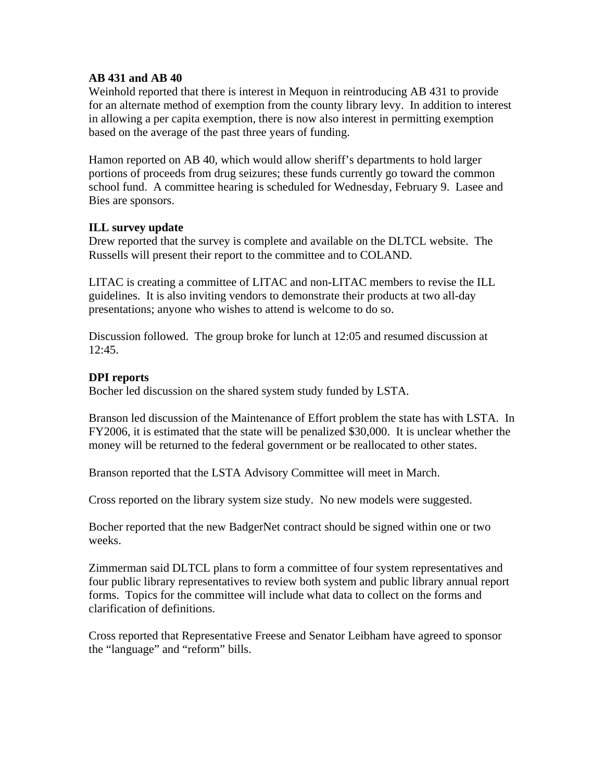### **AB 431 and AB 40**

Weinhold reported that there is interest in Mequon in reintroducing AB 431 to provide for an alternate method of exemption from the county library levy. In addition to interest in allowing a per capita exemption, there is now also interest in permitting exemption based on the average of the past three years of funding.

Hamon reported on AB 40, which would allow sheriff's departments to hold larger portions of proceeds from drug seizures; these funds currently go toward the common school fund. A committee hearing is scheduled for Wednesday, February 9. Lasee and Bies are sponsors.

## **ILL survey update**

Drew reported that the survey is complete and available on the DLTCL website. The Russells will present their report to the committee and to COLAND.

LITAC is creating a committee of LITAC and non-LITAC members to revise the ILL guidelines. It is also inviting vendors to demonstrate their products at two all-day presentations; anyone who wishes to attend is welcome to do so.

Discussion followed. The group broke for lunch at 12:05 and resumed discussion at 12:45.

## **DPI reports**

Bocher led discussion on the shared system study funded by LSTA.

Branson led discussion of the Maintenance of Effort problem the state has with LSTA. In FY2006, it is estimated that the state will be penalized \$30,000. It is unclear whether the money will be returned to the federal government or be reallocated to other states.

Branson reported that the LSTA Advisory Committee will meet in March.

Cross reported on the library system size study. No new models were suggested.

Bocher reported that the new BadgerNet contract should be signed within one or two weeks.

Zimmerman said DLTCL plans to form a committee of four system representatives and four public library representatives to review both system and public library annual report forms. Topics for the committee will include what data to collect on the forms and clarification of definitions.

Cross reported that Representative Freese and Senator Leibham have agreed to sponsor the "language" and "reform" bills.